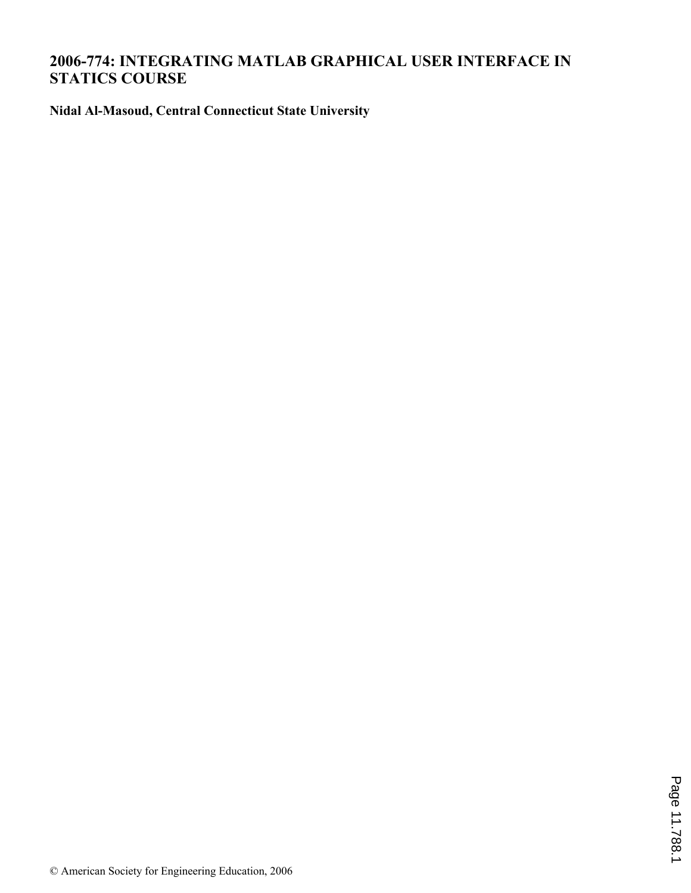# **2006-774: INTEGRATING MATLAB GRAPHICAL USER INTERFACE IN STATICS COURSE**

**Nidal Al-Masoud, Central Connecticut State University**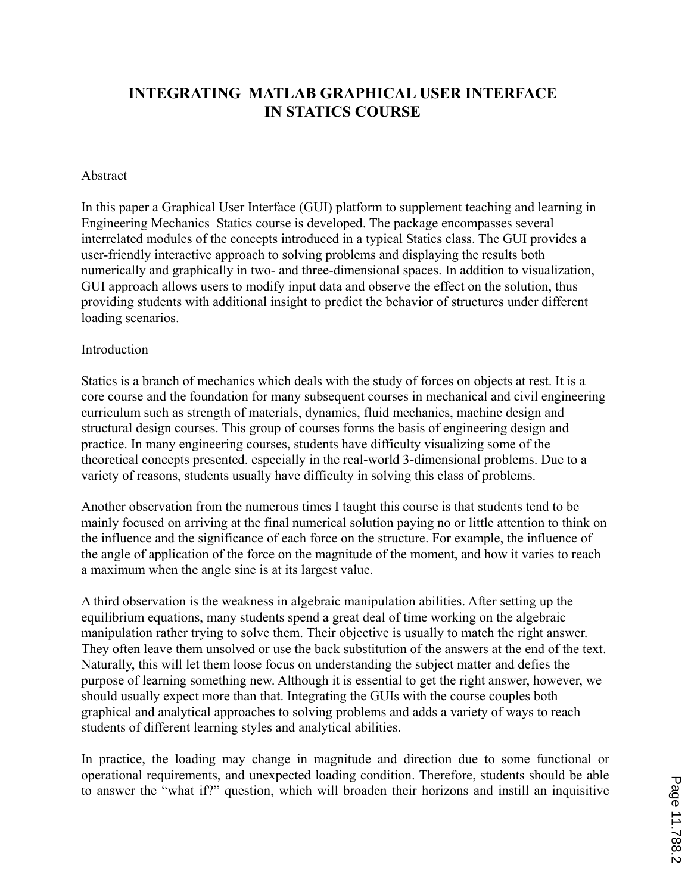# **INTEGRATING MATLAB GRAPHICAL USER INTERFACE IN STATICS COURSE**

### Abstract

In this paper a Graphical User Interface (GUI) platform to supplement teaching and learning in Engineering Mechanics–Statics course is developed. The package encompasses several interrelated modules of the concepts introduced in a typical Statics class. The GUI provides a user-friendly interactive approach to solving problems and displaying the results both numerically and graphically in two- and three-dimensional spaces. In addition to visualization, GUI approach allows users to modify input data and observe the effect on the solution, thus providing students with additional insight to predict the behavior of structures under different loading scenarios.

### Introduction

Statics is a branch of mechanics which deals with the study of forces on objects at rest. It is a core course and the foundation for many subsequent courses in mechanical and civil engineering curriculum such as strength of materials, dynamics, fluid mechanics, machine design and structural design courses. This group of courses forms the basis of engineering design and practice. In many engineering courses, students have difficulty visualizing some of the theoretical concepts presented. especially in the real-world 3-dimensional problems. Due to a variety of reasons, students usually have difficulty in solving this class of problems.

Another observation from the numerous times I taught this course is that students tend to be mainly focused on arriving at the final numerical solution paying no or little attention to think on the influence and the significance of each force on the structure. For example, the influence of the angle of application of the force on the magnitude of the moment, and how it varies to reach a maximum when the angle sine is at its largest value.

A third observation is the weakness in algebraic manipulation abilities. After setting up the equilibrium equations, many students spend a great deal of time working on the algebraic manipulation rather trying to solve them. Their objective is usually to match the right answer. They often leave them unsolved or use the back substitution of the answers at the end of the text. Naturally, this will let them loose focus on understanding the subject matter and defies the purpose of learning something new. Although it is essential to get the right answer, however, we should usually expect more than that. Integrating the GUIs with the course couples both graphical and analytical approaches to solving problems and adds a variety of ways to reach students of different learning styles and analytical abilities.

In practice, the loading may change in magnitude and direction due to some functional or operational requirements, and unexpected loading condition. Therefore, students should be able to answer the "what if?" question, which will broaden their horizons and instill an inquisitive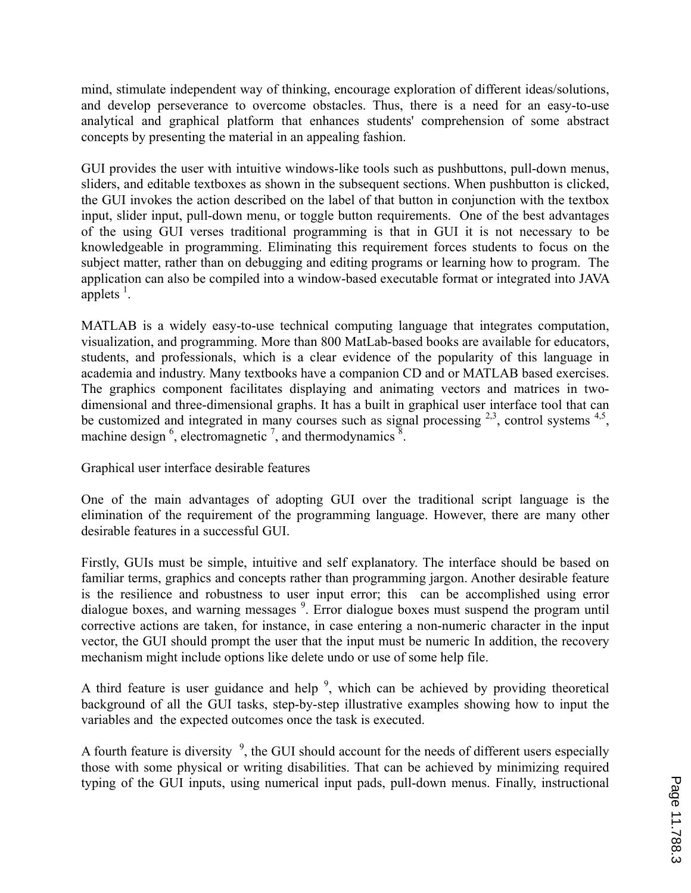mind, stimulate independent way of thinking, encourage exploration of different ideas/solutions, and develop perseverance to overcome obstacles. Thus, there is a need for an easy-to-use analytical and graphical platform that enhances students' comprehension of some abstract concepts by presenting the material in an appealing fashion.

GUI provides the user with intuitive windows-like tools such as pushbuttons, pull-down menus, sliders, and editable textboxes as shown in the subsequent sections. When pushbutton is clicked, the GUI invokes the action described on the label of that button in conjunction with the textbox input, slider input, pull-down menu, or toggle button requirements. One of the best advantages of the using GUI verses traditional programming is that in GUI it is not necessary to be knowledgeable in programming. Eliminating this requirement forces students to focus on the subject matter, rather than on debugging and editing programs or learning how to program. The application can also be compiled into a window-based executable format or integrated into JAVA applets  $\frac{1}{1}$ .

MATLAB is a widely easy-to-use technical computing language that integrates computation, visualization, and programming. More than 800 MatLab-based books are available for educators, students, and professionals, which is a clear evidence of the popularity of this language in academia and industry. Many textbooks have a companion CD and or MATLAB based exercises. The graphics component facilitates displaying and animating vectors and matrices in twodimensional and three-dimensional graphs. It has a built in graphical user interface tool that can be customized and integrated in many courses such as signal processing  $2,3$ , control systems  $4,5$ , machine design  $\frac{6}{5}$ , electromagnetic  $\frac{7}{5}$ , and thermodynamics  $\frac{8}{5}$ .

Graphical user interface desirable features

One of the main advantages of adopting GUI over the traditional script language is the elimination of the requirement of the programming language. However, there are many other desirable features in a successful GUI.

Firstly, GUIs must be simple, intuitive and self explanatory. The interface should be based on familiar terms, graphics and concepts rather than programming jargon. Another desirable feature is the resilience and robustness to user input error; this can be accomplished using error dialogue boxes, and warning messages <sup>9</sup>. Error dialogue boxes must suspend the program until corrective actions are taken, for instance, in case entering a non-numeric character in the input vector, the GUI should prompt the user that the input must be numeric In addition, the recovery mechanism might include options like delete undo or use of some help file.

A third feature is user guidance and help  $\frac{9}{2}$ , which can be achieved by providing theoretical background of all the GUI tasks, step-by-step illustrative examples showing how to input the variables and the expected outcomes once the task is executed.

A fourth feature is diversity  $\frac{9}{2}$ , the GUI should account for the needs of different users especially those with some physical or writing disabilities. That can be achieved by minimizing required typing of the GUI inputs, using numerical input pads, pull-down menus. Finally, instructional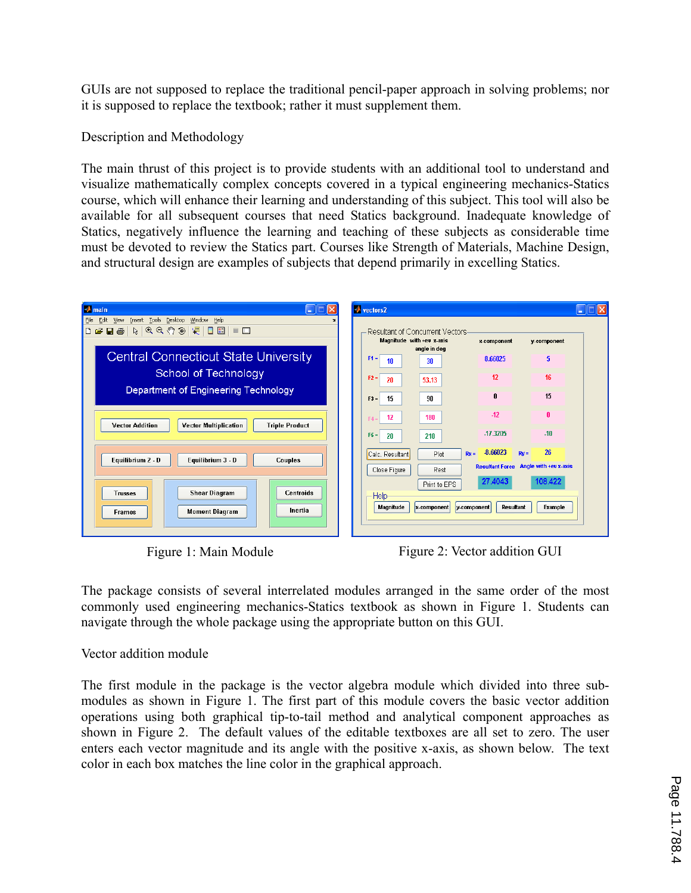GUIs are not supposed to replace the traditional pencil-paper approach in solving problems; nor it is supposed to replace the textbook; rather it must supplement them.

Description and Methodology

The main thrust of this project is to provide students with an additional tool to understand and visualize mathematically complex concepts covered in a typical engineering mechanics-Statics course, which will enhance their learning and understanding of this subject. This tool will also be available for all subsequent courses that need Statics background. Inadequate knowledge of Statics, negatively influence the learning and teaching of these subjects as considerable time must be devoted to review the Statics part. Courses like Strength of Materials, Machine Design, and structural design are examples of subjects that depend primarily in excelling Statics.



Figure 1: Main Module Figure 2: Vector addition GUI

The package consists of several interrelated modules arranged in the same order of the most commonly used engineering mechanics-Statics textbook as shown in Figure 1. Students can navigate through the whole package using the appropriate button on this GUI.

## Vector addition module

The first module in the package is the vector algebra module which divided into three submodules as shown in Figure 1. The first part of this module covers the basic vector addition operations using both graphical tip-to-tail method and analytical component approaches as shown in Figure 2. The default values of the editable textboxes are all set to zero. The user enters each vector magnitude and its angle with the positive x-axis, as shown below. The text color in each box matches the line color in the graphical approach.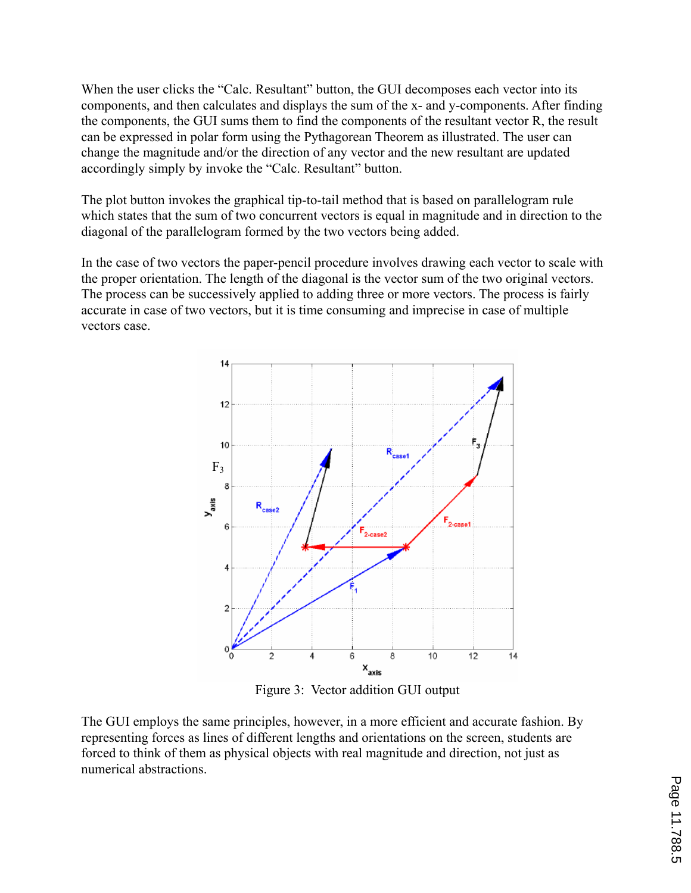When the user clicks the "Calc. Resultant" button, the GUI decomposes each vector into its components, and then calculates and displays the sum of the x- and y-components. After finding the components, the GUI sums them to find the components of the resultant vector R, the result can be expressed in polar form using the Pythagorean Theorem as illustrated. The user can change the magnitude and/or the direction of any vector and the new resultant are updated accordingly simply by invoke the "Calc. Resultant" button.

The plot button invokes the graphical tip-to-tail method that is based on parallelogram rule which states that the sum of two concurrent vectors is equal in magnitude and in direction to the diagonal of the parallelogram formed by the two vectors being added.

In the case of two vectors the paper-pencil procedure involves drawing each vector to scale with the proper orientation. The length of the diagonal is the vector sum of the two original vectors. The process can be successively applied to adding three or more vectors. The process is fairly accurate in case of two vectors, but it is time consuming and imprecise in case of multiple vectors case.



Figure 3: Vector addition GUI output

The GUI employs the same principles, however, in a more efficient and accurate fashion. By representing forces as lines of different lengths and orientations on the screen, students are forced to think of them as physical objects with real magnitude and direction, not just as numerical abstractions.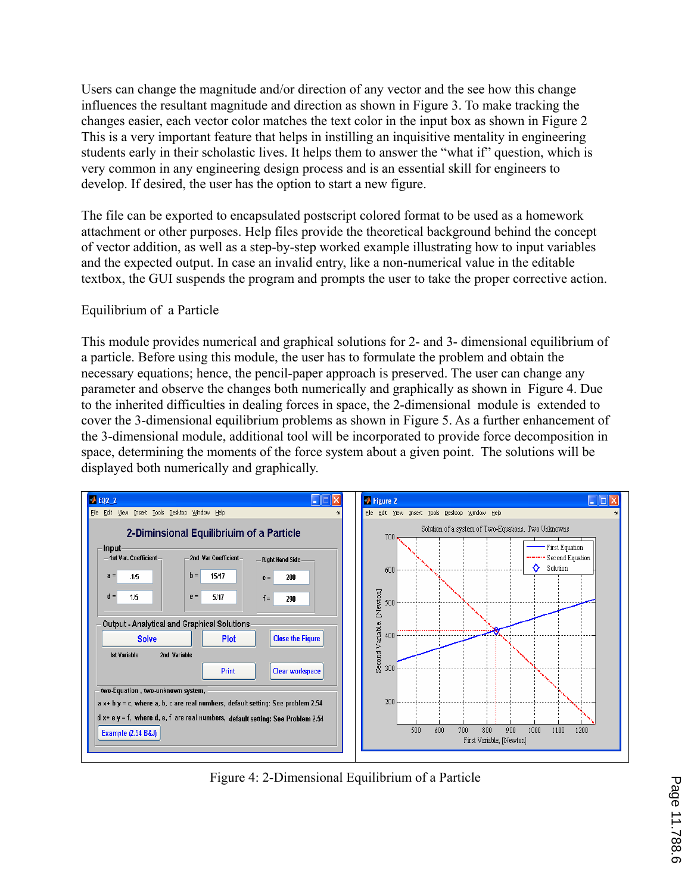Users can change the magnitude and/or direction of any vector and the see how this change influences the resultant magnitude and direction as shown in Figure 3. To make tracking the changes easier, each vector color matches the text color in the input box as shown in Figure 2 This is a very important feature that helps in instilling an inquisitive mentality in engineering students early in their scholastic lives. It helps them to answer the "what if" question, which is very common in any engineering design process and is an essential skill for engineers to develop. If desired, the user has the option to start a new figure.

The file can be exported to encapsulated postscript colored format to be used as a homework attachment or other purposes. Help files provide the theoretical background behind the concept of vector addition, as well as a step-by-step worked example illustrating how to input variables and the expected output. In case an invalid entry, like a non-numerical value in the editable textbox, the GUI suspends the program and prompts the user to take the proper corrective action.

## Equilibrium of a Particle

This module provides numerical and graphical solutions for 2- and 3- dimensional equilibrium of a particle. Before using this module, the user has to formulate the problem and obtain the necessary equations; hence, the pencil-paper approach is preserved. The user can change any parameter and observe the changes both numerically and graphically as shown in Figure 4. Due to the inherited difficulties in dealing forces in space, the 2-dimensional module is extended to cover the 3-dimensional equilibrium problems as shown in Figure 5. As a further enhancement of the 3-dimensional module, additional tool will be incorporated to provide force decomposition in space, determining the moments of the force system about a given point. The solutions will be displayed both numerically and graphically.



Figure 4: 2-Dimensional Equilibrium of a Particle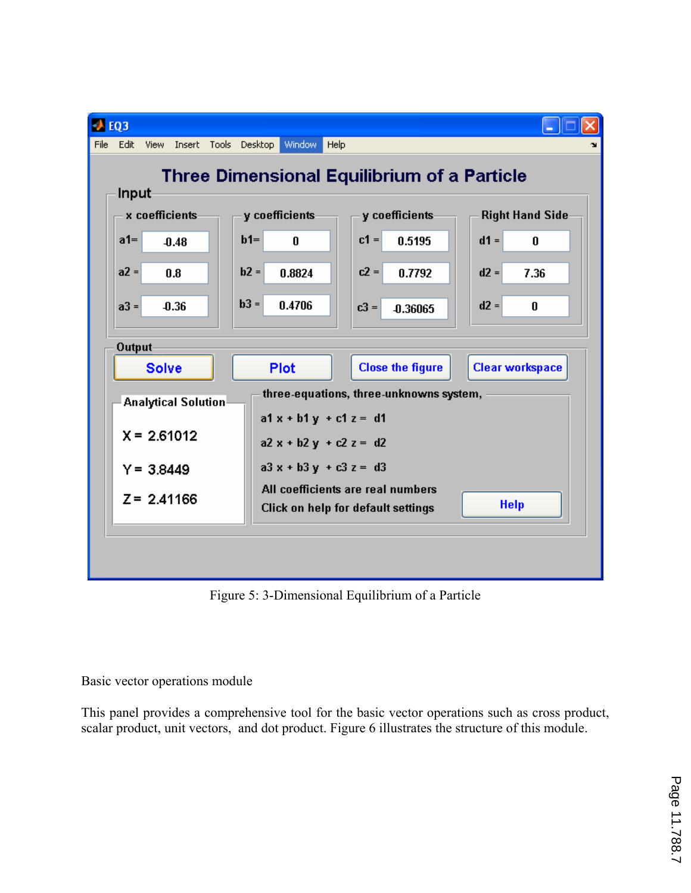

Figure 5: 3-Dimensional Equilibrium of a Particle

Basic vector operations module

This panel provides a comprehensive tool for the basic vector operations such as cross product, scalar product, unit vectors, and dot product. Figure 6 illustrates the structure of this module.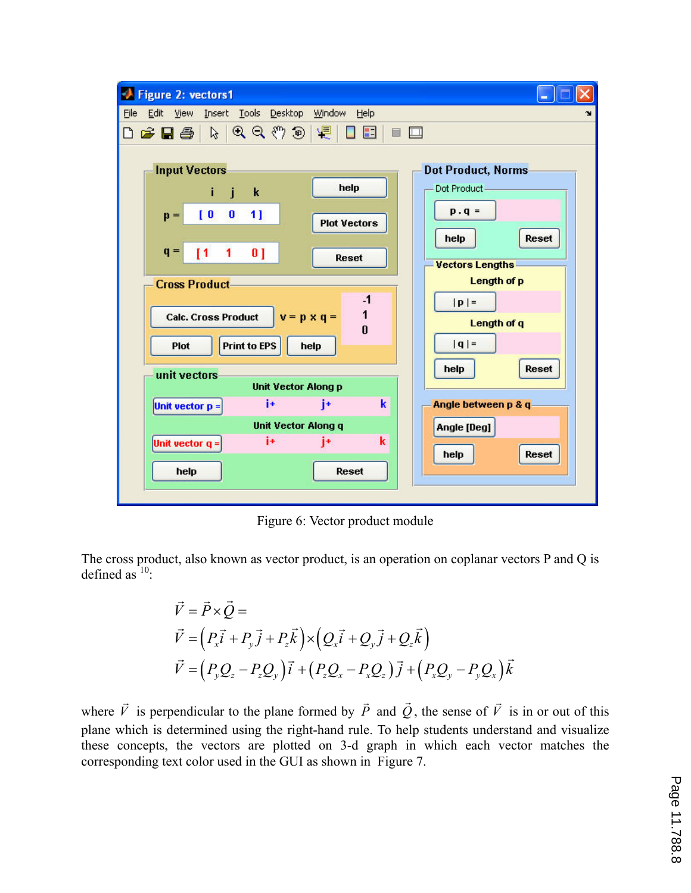

Figure 6: Vector product module

The cross product, also known as vector product, is an operation on coplanar vectors P and Q is defined as  $10$ :

$$
\vec{V} = \vec{P} \times \vec{Q} =
$$
\n
$$
\vec{V} = (P_x \vec{i} + P_y \vec{j} + P_z \vec{k}) \times (Q_x \vec{i} + Q_y \vec{j} + Q_z \vec{k})
$$
\n
$$
\vec{V} = (P_y Q_z - P_z Q_y) \vec{i} + (P_z Q_x - P_x Q_z) \vec{j} + (P_x Q_y - P_y Q_x) \vec{k}
$$

where *V*  $\vec{r}$  is perpendicular to the plane formed by *P*  $\overline{a}$  and *Q*  $\overline{a}$ , the sense of *V*  $\vec{r}$  is in or out of this plane which is determined using the right-hand rule. To help students understand and visualize these concepts, the vectors are plotted on 3-d graph in which each vector matches the corresponding text color used in the GUI as shown in Figure 7.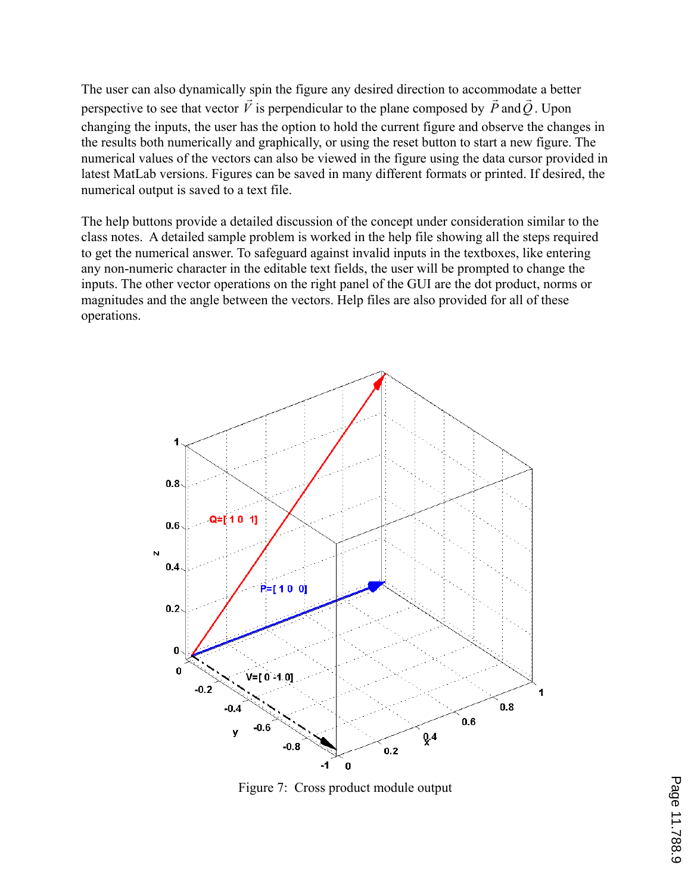The user can also dynamically spin the figure any desired direction to accommodate a better perspective to see that vector *V* ۔<br>بہ is perpendicular to the plane composed by *P*  $\frac{1}{2}$ and*Q*  $\frac{1}{2}$ . Upon changing the inputs, the user has the option to hold the current figure and observe the changes in the results both numerically and graphically, or using the reset button to start a new figure. The numerical values of the vectors can also be viewed in the figure using the data cursor provided in latest MatLab versions. Figures can be saved in many different formats or printed. If desired, the numerical output is saved to a text file.

The help buttons provide a detailed discussion of the concept under consideration similar to the class notes. A detailed sample problem is worked in the help file showing all the steps required to get the numerical answer. To safeguard against invalid inputs in the textboxes, like entering any non-numeric character in the editable text fields, the user will be prompted to change the inputs. The other vector operations on the right panel of the GUI are the dot product, norms or magnitudes and the angle between the vectors. Help files are also provided for all of these operations.



Figure 7: Cross product module output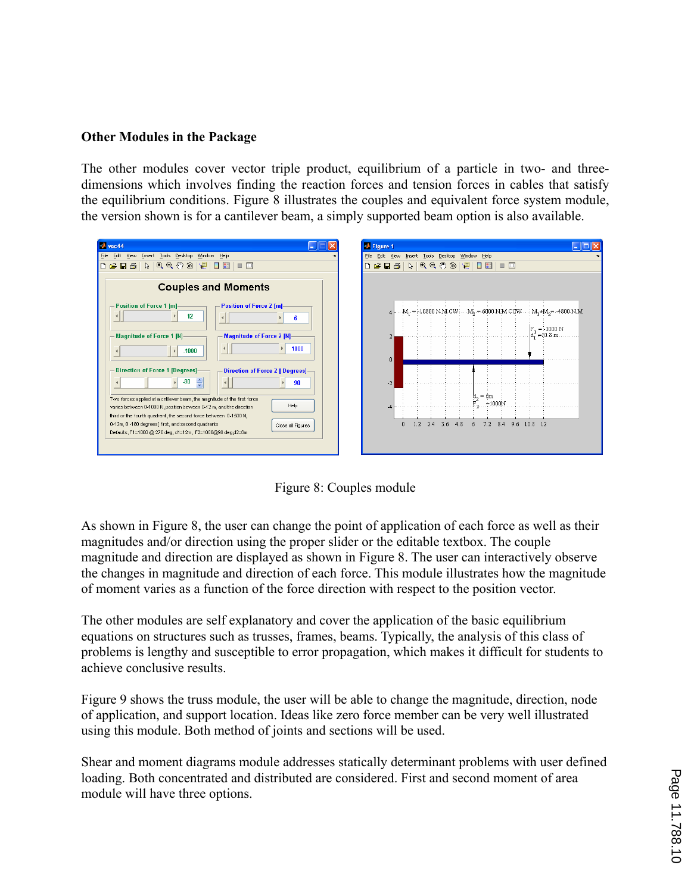## **Other Modules in the Package**

The other modules cover vector triple product, equilibrium of a particle in two- and threedimensions which involves finding the reaction forces and tension forces in cables that satisfy the equilibrium conditions. Figure 8 illustrates the couples and equivalent force system module, the version shown is for a cantilever beam, a simply supported beam option is also available.

| $\rightarrow$ vec44                                                                                                                                                                                                                                                                                                                                                                                                                                                                                                                                 | <b>D</b> Figure 1                                                                                                               |
|-----------------------------------------------------------------------------------------------------------------------------------------------------------------------------------------------------------------------------------------------------------------------------------------------------------------------------------------------------------------------------------------------------------------------------------------------------------------------------------------------------------------------------------------------------|---------------------------------------------------------------------------------------------------------------------------------|
| Eile Edit<br>Insert Tools Desktop Window Help<br>View                                                                                                                                                                                                                                                                                                                                                                                                                                                                                               | File Edit View Insert Tools Desktop Window Help                                                                                 |
| $\begin{array}{c} \hbox{$\beta$} \end{array} \begin{array}{c} \hbox{$\beta$} \end{array} \begin{array}{c} \hbox{$\beta$} \end{array} \begin{array}{c} \hbox{$\beta$} \end{array} \begin{array}{c} \hbox{$\beta$} \end{array} \begin{array}{c} \hbox{$\beta$} \end{array} \begin{array}{c} \hbox{$\beta$} \end{array} \begin{array}{c} \hbox{$\beta$} \end{array} \begin{array}{c} \hbox{$\beta$} \end{array} \begin{array}{c} \hbox{$\beta$} \end{array} \begin{array}{c} \hbox{$\beta$} \end{array}$<br>$\Box$ $\cong$ $\Box$ $\oplus$ $\parallel$ | <b>D &amp; B &amp; R Q Q O @ Q B B F B</b>                                                                                      |
| <b>Couples and Moments</b>                                                                                                                                                                                                                                                                                                                                                                                                                                                                                                                          |                                                                                                                                 |
| Position of Force 1 [m]-<br><b>Position of Force 2 [m]-</b><br>12<br>6<br>Magnitude of Force 1 [N]-<br><b>Magnitude of Force 2 [N]-</b><br>1000<br>$-1000$                                                                                                                                                                                                                                                                                                                                                                                          | $4$ . $M_1 = 10800$ N.M $CW$ ; $M_5 = 6000$ N.M $CCW$ ; $M_1 + M_2 = -4800$ N.M<br>$= 1000 N$<br>$d = 10.8 m$ .<br>$\mathsf{n}$ |
| Direction of Force 1 [Degrees]-<br>Direction of Force 2 [ Degrees]-<br>.90<br>$\overline{\phantom{a}}$<br>90<br>Two forces applied at a critilever beam, the magnitude of the first force<br>Help<br>varies between 0-1000 N, position beween 0-12 m, and the direction<br>third or the fourth quadrant, the second force between 0-1500 N,<br>0-12m, 0 -180 degrees(first, and second quadrants<br>Close all Figures<br>Defaults, F1=1000 @ 270 deg, d1=12m, F2=1000@90 deg,d2=6m                                                                  | $-2$<br>и<br>$= 6m$<br>$=1000N$<br>7.2 8.4 9.6 10.8 12<br>$\mathbf{0}$<br>1.2<br>2.4<br>$3.6$ 4.8<br>6                          |

Figure 8: Couples module

As shown in Figure 8, the user can change the point of application of each force as well as their magnitudes and/or direction using the proper slider or the editable textbox. The couple magnitude and direction are displayed as shown in Figure 8. The user can interactively observe the changes in magnitude and direction of each force. This module illustrates how the magnitude of moment varies as a function of the force direction with respect to the position vector.

The other modules are self explanatory and cover the application of the basic equilibrium equations on structures such as trusses, frames, beams. Typically, the analysis of this class of problems is lengthy and susceptible to error propagation, which makes it difficult for students to achieve conclusive results.

Figure 9 shows the truss module, the user will be able to change the magnitude, direction, node of application, and support location. Ideas like zero force member can be very well illustrated using this module. Both method of joints and sections will be used.

Shear and moment diagrams module addresses statically determinant problems with user defined loading. Both concentrated and distributed are considered. First and second moment of area module will have three options.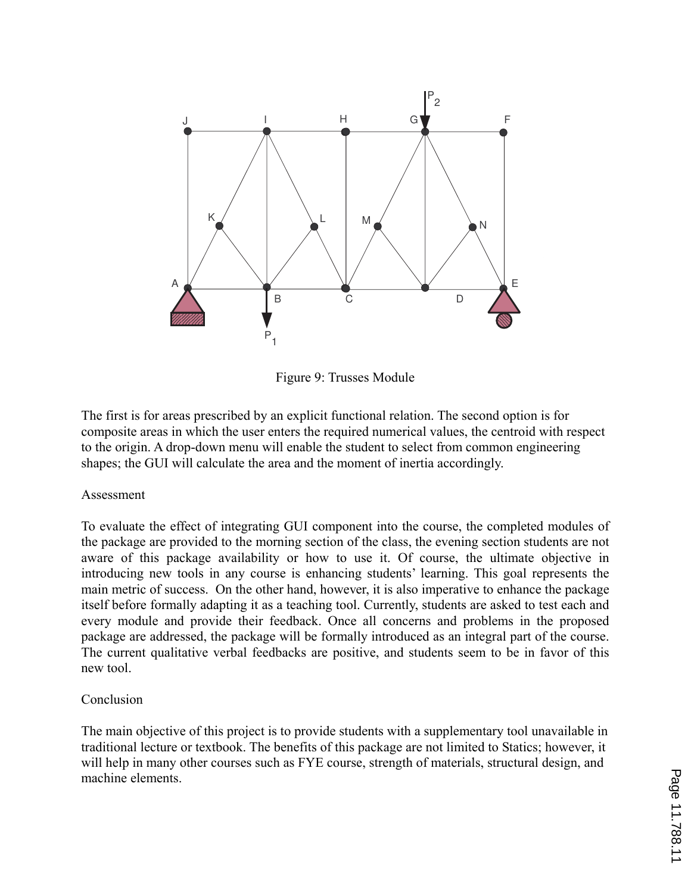

Figure 9: Trusses Module

The first is for areas prescribed by an explicit functional relation. The second option is for composite areas in which the user enters the required numerical values, the centroid with respect to the origin. A drop-down menu will enable the student to select from common engineering shapes; the GUI will calculate the area and the moment of inertia accordingly.

### Assessment

To evaluate the effect of integrating GUI component into the course, the completed modules of the package are provided to the morning section of the class, the evening section students are not aware of this package availability or how to use it. Of course, the ultimate objective in introducing new tools in any course is enhancing students' learning. This goal represents the main metric of success. On the other hand, however, it is also imperative to enhance the package itself before formally adapting it as a teaching tool. Currently, students are asked to test each and every module and provide their feedback. Once all concerns and problems in the proposed package are addressed, the package will be formally introduced as an integral part of the course. The current qualitative verbal feedbacks are positive, and students seem to be in favor of this new tool.

## Conclusion

The main objective of this project is to provide students with a supplementary tool unavailable in traditional lecture or textbook. The benefits of this package are not limited to Statics; however, it will help in many other courses such as FYE course, strength of materials, structural design, and machine elements.